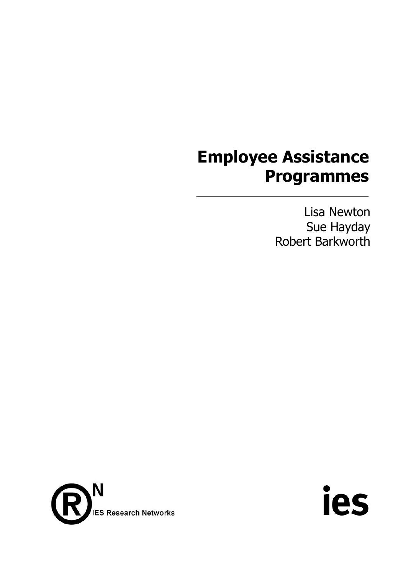## **Employee Assistance Programmes**

Lisa Newton Sue Hayday Robert Barkworth



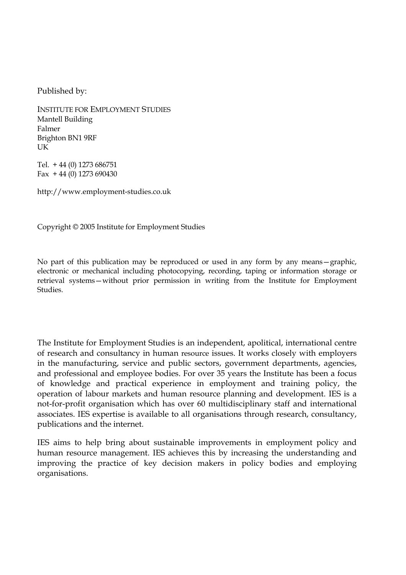Published by:

INSTITUTE FOR EMPLOYMENT STUDIES Mantell Building Falmer Brighton BN1 9RF UK

Tel. + 44 (0) 1273 686751 Fax  $+44$  (0) 1273 690430

http://www.employment-studies.co.uk

Copyright © 2005 Institute for Employment Studies

No part of this publication may be reproduced or used in any form by any means—graphic, electronic or mechanical including photocopying, recording, taping or information storage or retrieval systems—without prior permission in writing from the Institute for Employment Studies.

The Institute for Employment Studies is an independent, apolitical, international centre of research and consultancy in human resource issues. It works closely with employers in the manufacturing, service and public sectors, government departments, agencies, and professional and employee bodies. For over 35 years the Institute has been a focus of knowledge and practical experience in employment and training policy, the operation of labour markets and human resource planning and development. IES is a not-for-profit organisation which has over 60 multidisciplinary staff and international associates. IES expertise is available to all organisations through research, consultancy, publications and the internet.

IES aims to help bring about sustainable improvements in employment policy and human resource management. IES achieves this by increasing the understanding and improving the practice of key decision makers in policy bodies and employing organisations.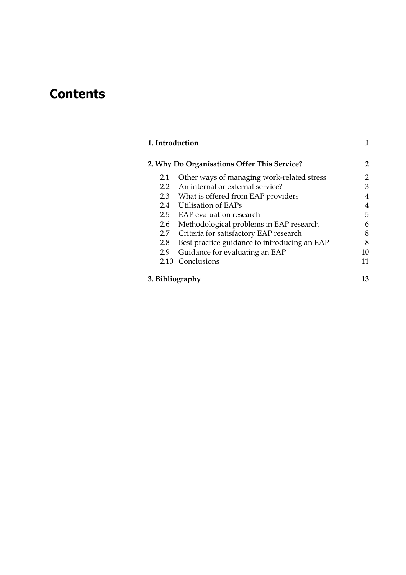## **Contents**

| 1. Introduction |                                              | 1            |
|-----------------|----------------------------------------------|--------------|
|                 | 2. Why Do Organisations Offer This Service?  | $\mathbf{2}$ |
| 2.1             | Other ways of managing work-related stress   | 2            |
| $2.2^{\circ}$   | An internal or external service?             | 3            |
|                 | 2.3 What is offered from EAP providers       | 4            |
|                 | 2.4 Utilisation of EAPs                      | 4            |
|                 | 2.5 EAP evaluation research                  | 5            |
| 2.6             | Methodological problems in EAP research      | 6            |
| 2.7             | Criteria for satisfactory EAP research       | 8            |
| 2.8             | Best practice guidance to introducing an EAP | 8            |
| 2.9             | Guidance for evaluating an EAP               | 10           |
| 2.10            | Conclusions                                  | 11           |
| 3. Bibliography |                                              | 13           |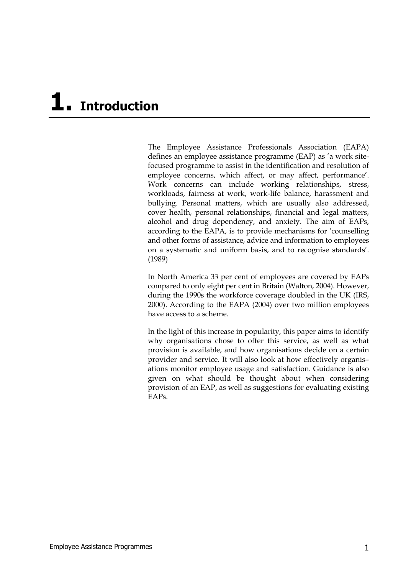## **1. Introduction**

The Employee Assistance Professionals Association (EAPA) defines an employee assistance programme (EAP) as 'a work sitefocused programme to assist in the identification and resolution of employee concerns, which affect, or may affect, performance'. Work concerns can include working relationships, stress, workloads, fairness at work, work-life balance, harassment and bullying. Personal matters, which are usually also addressed, cover health, personal relationships, financial and legal matters, alcohol and drug dependency, and anxiety. The aim of EAPs, according to the EAPA, is to provide mechanisms for 'counselling and other forms of assistance, advice and information to employees on a systematic and uniform basis, and to recognise standards'. (1989)

In North America 33 per cent of employees are covered by EAPs compared to only eight per cent in Britain (Walton, 2004). However, during the 1990s the workforce coverage doubled in the UK (IRS, 2000). According to the EAPA (2004) over two million employees have access to a scheme.

In the light of this increase in popularity, this paper aims to identify why organisations chose to offer this service, as well as what provision is available, and how organisations decide on a certain provider and service. It will also look at how effectively organis– ations monitor employee usage and satisfaction. Guidance is also given on what should be thought about when considering provision of an EAP, as well as suggestions for evaluating existing EAPs.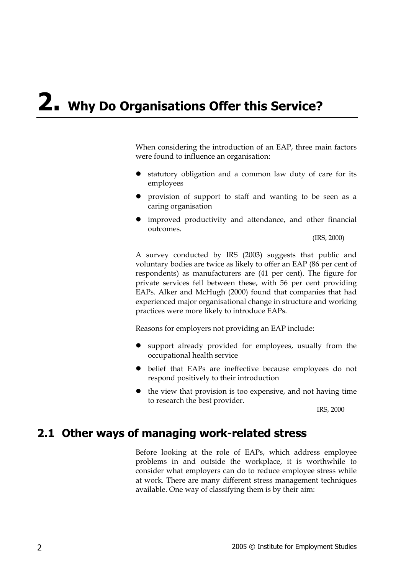## **2. Why Do Organisations Offer this Service?**

When considering the introduction of an EAP, three main factors were found to influence an organisation:

- statutory obligation and a common law duty of care for its employees
- provision of support to staff and wanting to be seen as a caring organisation
- improved productivity and attendance, and other financial outcomes.

(IRS, 2000)

A survey conducted by IRS (2003) suggests that public and voluntary bodies are twice as likely to offer an EAP (86 per cent of respondents) as manufacturers are (41 per cent). The figure for private services fell between these, with 56 per cent providing EAPs. Alker and McHugh (2000) found that companies that had experienced major organisational change in structure and working practices were more likely to introduce EAPs.

Reasons for employers not providing an EAP include:

- support already provided for employees, usually from the occupational health service
- belief that EAPs are ineffective because employees do not respond positively to their introduction
- $\bullet$  the view that provision is too expensive, and not having time to research the best provider.

IRS, 2000

#### **2.1 Other ways of managing work-related stress**

Before looking at the role of EAPs, which address employee problems in and outside the workplace, it is worthwhile to consider what employers can do to reduce employee stress while at work. There are many different stress management techniques available. One way of classifying them is by their aim: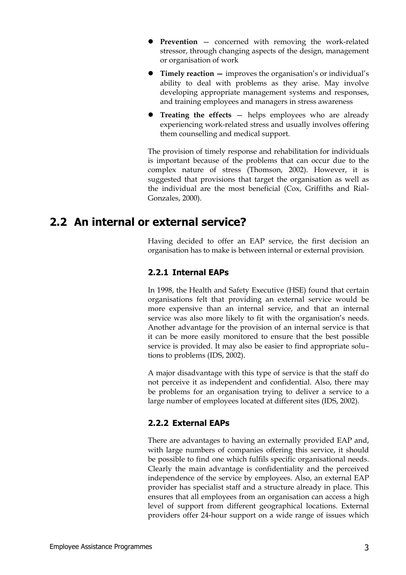- **Prevention** concerned with removing the work-related stressor, through changing aspects of the design, management or organisation of work
- z **Timely reaction** improves the organisation's or individual's ability to deal with problems as they arise. May involve developing appropriate management systems and responses, and training employees and managers in stress awareness
- **Treating the effects** helps employees who are already experiencing work-related stress and usually involves offering them counselling and medical support.

The provision of timely response and rehabilitation for individuals is important because of the problems that can occur due to the complex nature of stress (Thomson, 2002). However, it is suggested that provisions that target the organisation as well as the individual are the most beneficial (Cox, Griffiths and Rial-Gonzales, 2000).

### **2.2 An internal or external service?**

Having decided to offer an EAP service, the first decision an organisation has to make is between internal or external provision.

#### **2.2.1 Internal EAPs**

In 1998, the Health and Safety Executive (HSE) found that certain organisations felt that providing an external service would be more expensive than an internal service, and that an internal service was also more likely to fit with the organisation's needs. Another advantage for the provision of an internal service is that it can be more easily monitored to ensure that the best possible service is provided. It may also be easier to find appropriate solu– tions to problems (IDS, 2002).

A major disadvantage with this type of service is that the staff do not perceive it as independent and confidential. Also, there may be problems for an organisation trying to deliver a service to a large number of employees located at different sites (IDS, 2002).

#### **2.2.2 External EAPs**

There are advantages to having an externally provided EAP and, with large numbers of companies offering this service, it should be possible to find one which fulfils specific organisational needs. Clearly the main advantage is confidentiality and the perceived independence of the service by employees. Also, an external EAP provider has specialist staff and a structure already in place. This ensures that all employees from an organisation can access a high level of support from different geographical locations. External providers offer 24-hour support on a wide range of issues which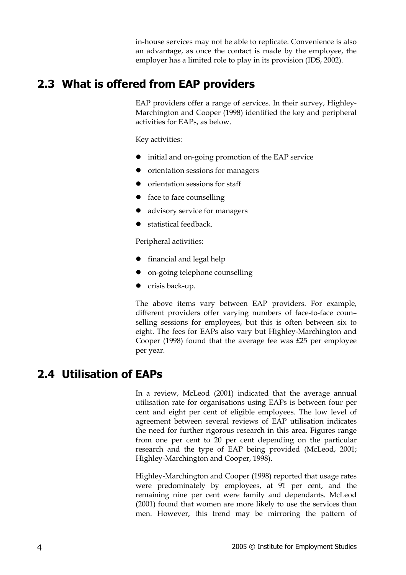in-house services may not be able to replicate. Convenience is also an advantage, as once the contact is made by the employee, the employer has a limited role to play in its provision (IDS, 2002).

## **2.3 What is offered from EAP providers**

EAP providers offer a range of services. In their survey, Highley-Marchington and Cooper (1998) identified the key and peripheral activities for EAPs, as below.

Key activities:

- $\bullet$  initial and on-going promotion of the EAP service
- orientation sessions for managers
- $\bullet$  orientation sessions for staff
- $\bullet$  face to face counselling
- advisory service for managers
- statistical feedback.

Peripheral activities:

- $\bullet$  financial and legal help
- on-going telephone counselling
- $\bullet$  crisis back-up.

The above items vary between EAP providers. For example, different providers offer varying numbers of face-to-face coun– selling sessions for employees, but this is often between six to eight. The fees for EAPs also vary but Highley-Marchington and Cooper (1998) found that the average fee was £25 per employee per year.

## **2.4 Utilisation of EAPs**

In a review, McLeod (2001) indicated that the average annual utilisation rate for organisations using EAPs is between four per cent and eight per cent of eligible employees. The low level of agreement between several reviews of EAP utilisation indicates the need for further rigorous research in this area. Figures range from one per cent to 20 per cent depending on the particular research and the type of EAP being provided (McLeod, 2001; Highley-Marchington and Cooper, 1998).

Highley-Marchington and Cooper (1998) reported that usage rates were predominately by employees, at 91 per cent, and the remaining nine per cent were family and dependants. McLeod (2001) found that women are more likely to use the services than men. However, this trend may be mirroring the pattern of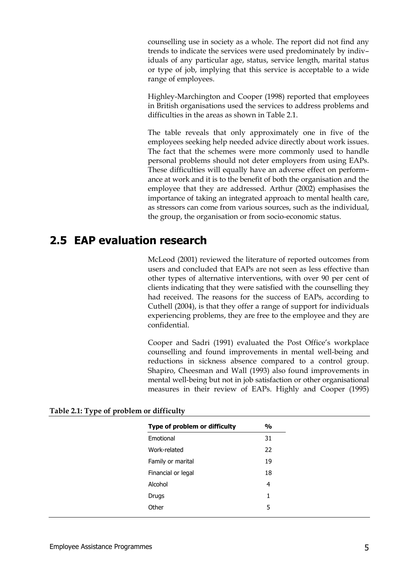counselling use in society as a whole. The report did not find any trends to indicate the services were used predominately by indiv– iduals of any particular age, status, service length, marital status or type of job, implying that this service is acceptable to a wide range of employees.

Highley-Marchington and Cooper (1998) reported that employees in British organisations used the services to address problems and difficulties in the areas as shown in Table 2.1.

The table reveals that only approximately one in five of the employees seeking help needed advice directly about work issues. The fact that the schemes were more commonly used to handle personal problems should not deter employers from using EAPs. These difficulties will equally have an adverse effect on perform– ance at work and it is to the benefit of both the organisation and the employee that they are addressed. Arthur (2002) emphasises the importance of taking an integrated approach to mental health care, as stressors can come from various sources, such as the individual, the group, the organisation or from socio-economic status.

### **2.5 EAP evaluation research**

McLeod (2001) reviewed the literature of reported outcomes from users and concluded that EAPs are not seen as less effective than other types of alternative interventions, with over 90 per cent of clients indicating that they were satisfied with the counselling they had received. The reasons for the success of EAPs, according to Cuthell (2004), is that they offer a range of support for individuals experiencing problems, they are free to the employee and they are confidential.

Cooper and Sadri (1991) evaluated the Post Office's workplace counselling and found improvements in mental well-being and reductions in sickness absence compared to a control group. Shapiro, Cheesman and Wall (1993) also found improvements in mental well-being but not in job satisfaction or other organisational measures in their review of EAPs. Highly and Cooper (1995)

| Type of problem or difficulty | $\frac{0}{0}$ |
|-------------------------------|---------------|
| Emotional                     | 31            |
| Work-related                  | 22            |
| Family or marital             | 19            |
| Financial or legal            | 18            |
| Alcohol                       | 4             |
| Drugs                         | 1             |
| Other                         | 5             |
|                               |               |

#### **Table 2.1: Type of problem or difficulty**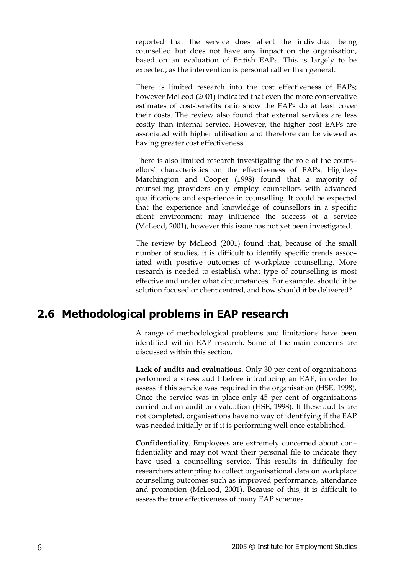reported that the service does affect the individual being counselled but does not have any impact on the organisation, based on an evaluation of British EAPs. This is largely to be expected, as the intervention is personal rather than general.

There is limited research into the cost effectiveness of EAPs; however McLeod (2001) indicated that even the more conservative estimates of cost-benefits ratio show the EAPs do at least cover their costs. The review also found that external services are less costly than internal service. However, the higher cost EAPs are associated with higher utilisation and therefore can be viewed as having greater cost effectiveness.

There is also limited research investigating the role of the couns– ellors' characteristics on the effectiveness of EAPs. Highley-Marchington and Cooper (1998) found that a majority of counselling providers only employ counsellors with advanced qualifications and experience in counselling. It could be expected that the experience and knowledge of counsellors in a specific client environment may influence the success of a service (McLeod, 2001), however this issue has not yet been investigated.

The review by McLeod (2001) found that, because of the small number of studies, it is difficult to identify specific trends assoc– iated with positive outcomes of workplace counselling. More research is needed to establish what type of counselling is most effective and under what circumstances. For example, should it be solution focused or client centred, and how should it be delivered?

### **2.6 Methodological problems in EAP research**

A range of methodological problems and limitations have been identified within EAP research. Some of the main concerns are discussed within this section.

**Lack of audits and evaluations**. Only 30 per cent of organisations performed a stress audit before introducing an EAP, in order to assess if this service was required in the organisation (HSE, 1998). Once the service was in place only 45 per cent of organisations carried out an audit or evaluation (HSE, 1998). If these audits are not completed, organisations have no way of identifying if the EAP was needed initially or if it is performing well once established.

**Confidentiality**. Employees are extremely concerned about con– fidentiality and may not want their personal file to indicate they have used a counselling service. This results in difficulty for researchers attempting to collect organisational data on workplace counselling outcomes such as improved performance, attendance and promotion (McLeod, 2001). Because of this, it is difficult to assess the true effectiveness of many EAP schemes.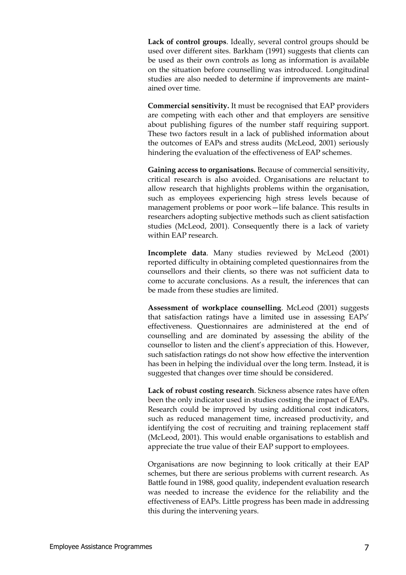**Lack of control groups**. Ideally, several control groups should be used over different sites. Barkham (1991) suggests that clients can be used as their own controls as long as information is available on the situation before counselling was introduced. Longitudinal studies are also needed to determine if improvements are maint– ained over time.

**Commercial sensitivity.** It must be recognised that EAP providers are competing with each other and that employers are sensitive about publishing figures of the number staff requiring support. These two factors result in a lack of published information about the outcomes of EAPs and stress audits (McLeod, 2001) seriously hindering the evaluation of the effectiveness of EAP schemes.

**Gaining access to organisations.** Because of commercial sensitivity, critical research is also avoided. Organisations are reluctant to allow research that highlights problems within the organisation, such as employees experiencing high stress levels because of management problems or poor work—life balance. This results in researchers adopting subjective methods such as client satisfaction studies (McLeod, 2001). Consequently there is a lack of variety within EAP research.

**Incomplete data**. Many studies reviewed by McLeod (2001) reported difficulty in obtaining completed questionnaires from the counsellors and their clients, so there was not sufficient data to come to accurate conclusions. As a result, the inferences that can be made from these studies are limited.

**Assessment of workplace counselling**. McLeod (2001) suggests that satisfaction ratings have a limited use in assessing EAPs' effectiveness. Questionnaires are administered at the end of counselling and are dominated by assessing the ability of the counsellor to listen and the client's appreciation of this. However, such satisfaction ratings do not show how effective the intervention has been in helping the individual over the long term. Instead, it is suggested that changes over time should be considered.

**Lack of robust costing research**. Sickness absence rates have often been the only indicator used in studies costing the impact of EAPs. Research could be improved by using additional cost indicators, such as reduced management time, increased productivity, and identifying the cost of recruiting and training replacement staff (McLeod, 2001). This would enable organisations to establish and appreciate the true value of their EAP support to employees.

Organisations are now beginning to look critically at their EAP schemes, but there are serious problems with current research. As Battle found in 1988, good quality, independent evaluation research was needed to increase the evidence for the reliability and the effectiveness of EAPs. Little progress has been made in addressing this during the intervening years.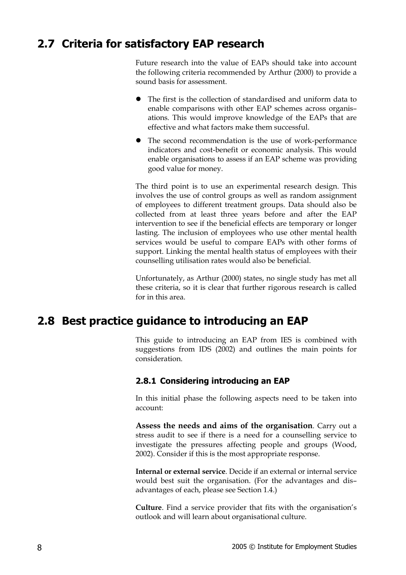## **2.7 Criteria for satisfactory EAP research**

Future research into the value of EAPs should take into account the following criteria recommended by Arthur (2000) to provide a sound basis for assessment.

- The first is the collection of standardised and uniform data to enable comparisons with other EAP schemes across organis– ations. This would improve knowledge of the EAPs that are effective and what factors make them successful.
- The second recommendation is the use of work-performance indicators and cost-benefit or economic analysis. This would enable organisations to assess if an EAP scheme was providing good value for money.

The third point is to use an experimental research design. This involves the use of control groups as well as random assignment of employees to different treatment groups. Data should also be collected from at least three years before and after the EAP intervention to see if the beneficial effects are temporary or longer lasting. The inclusion of employees who use other mental health services would be useful to compare EAPs with other forms of support. Linking the mental health status of employees with their counselling utilisation rates would also be beneficial.

Unfortunately, as Arthur (2000) states, no single study has met all these criteria, so it is clear that further rigorous research is called for in this area.

## **2.8 Best practice guidance to introducing an EAP**

This guide to introducing an EAP from IES is combined with suggestions from IDS (2002) and outlines the main points for consideration.

#### **2.8.1 Considering introducing an EAP**

In this initial phase the following aspects need to be taken into account:

**Assess the needs and aims of the organisation**. Carry out a stress audit to see if there is a need for a counselling service to investigate the pressures affecting people and groups (Wood, 2002). Consider if this is the most appropriate response.

**Internal or external service**. Decide if an external or internal service would best suit the organisation. (For the advantages and dis– advantages of each, please see Section 1.4.)

**Culture**. Find a service provider that fits with the organisation's outlook and will learn about organisational culture.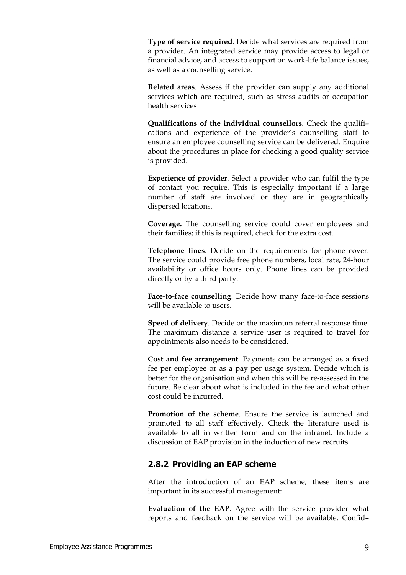**Type of service required**. Decide what services are required from a provider. An integrated service may provide access to legal or financial advice, and access to support on work-life balance issues, as well as a counselling service.

**Related areas**. Assess if the provider can supply any additional services which are required, such as stress audits or occupation health services

**Qualifications of the individual counsellors**. Check the qualifi– cations and experience of the provider's counselling staff to ensure an employee counselling service can be delivered. Enquire about the procedures in place for checking a good quality service is provided.

**Experience of provider**. Select a provider who can fulfil the type of contact you require. This is especially important if a large number of staff are involved or they are in geographically dispersed locations.

**Coverage.** The counselling service could cover employees and their families; if this is required, check for the extra cost.

**Telephone lines**. Decide on the requirements for phone cover. The service could provide free phone numbers, local rate, 24-hour availability or office hours only. Phone lines can be provided directly or by a third party.

**Face-to-face counselling**. Decide how many face-to-face sessions will be available to users.

**Speed of delivery**. Decide on the maximum referral response time. The maximum distance a service user is required to travel for appointments also needs to be considered.

**Cost and fee arrangement**. Payments can be arranged as a fixed fee per employee or as a pay per usage system. Decide which is better for the organisation and when this will be re-assessed in the future. Be clear about what is included in the fee and what other cost could be incurred.

**Promotion of the scheme**. Ensure the service is launched and promoted to all staff effectively. Check the literature used is available to all in written form and on the intranet. Include a discussion of EAP provision in the induction of new recruits.

#### **2.8.2 Providing an EAP scheme**

After the introduction of an EAP scheme, these items are important in its successful management:

**Evaluation of the EAP**. Agree with the service provider what reports and feedback on the service will be available. Confid–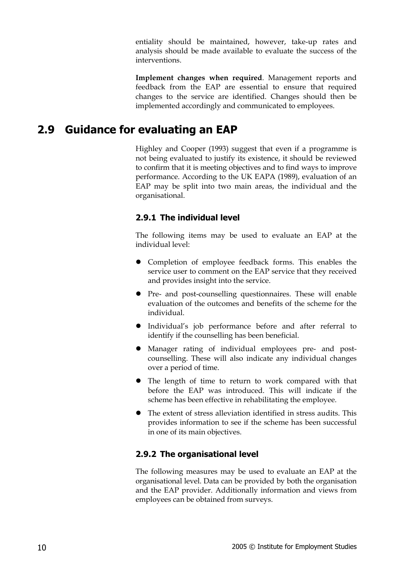entiality should be maintained, however, take-up rates and analysis should be made available to evaluate the success of the interventions.

**Implement changes when required**. Management reports and feedback from the EAP are essential to ensure that required changes to the service are identified. Changes should then be implemented accordingly and communicated to employees.

## **2.9 Guidance for evaluating an EAP**

Highley and Cooper (1993) suggest that even if a programme is not being evaluated to justify its existence, it should be reviewed to confirm that it is meeting objectives and to find ways to improve performance. According to the UK EAPA (1989), evaluation of an EAP may be split into two main areas, the individual and the organisational.

#### **2.9.1 The individual level**

The following items may be used to evaluate an EAP at the individual level:

- Completion of employee feedback forms. This enables the service user to comment on the EAP service that they received and provides insight into the service.
- Pre- and post-counselling questionnaires. These will enable evaluation of the outcomes and benefits of the scheme for the individual.
- $\bullet$  Individual's job performance before and after referral to identify if the counselling has been beneficial.
- Manager rating of individual employees pre- and postcounselling. These will also indicate any individual changes over a period of time.
- The length of time to return to work compared with that before the EAP was introduced. This will indicate if the scheme has been effective in rehabilitating the employee.
- The extent of stress alleviation identified in stress audits. This provides information to see if the scheme has been successful in one of its main objectives.

#### **2.9.2 The organisational level**

The following measures may be used to evaluate an EAP at the organisational level. Data can be provided by both the organisation and the EAP provider. Additionally information and views from employees can be obtained from surveys.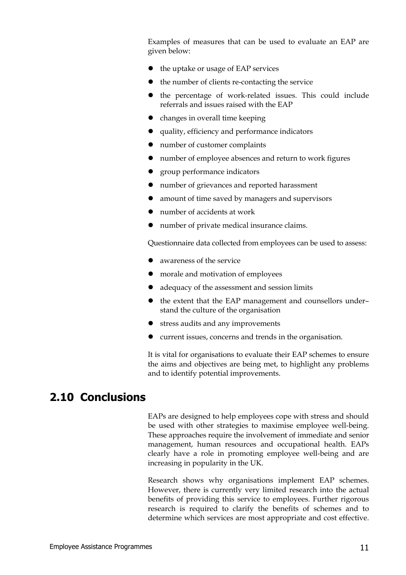Examples of measures that can be used to evaluate an EAP are given below:

- $\bullet$  the uptake or usage of EAP services
- $\bullet$  the number of clients re-contacting the service
- the percentage of work-related issues. This could include referrals and issues raised with the EAP
- $\bullet$  changes in overall time keeping
- $\bullet$  quality, efficiency and performance indicators
- number of customer complaints
- number of employee absences and return to work figures
- z group performance indicators
- number of grievances and reported harassment
- amount of time saved by managers and supervisors
- number of accidents at work
- number of private medical insurance claims.

Questionnaire data collected from employees can be used to assess:

- $\bullet$  awareness of the service
- morale and motivation of employees
- adequacy of the assessment and session limits
- the extent that the EAP management and counsellors understand the culture of the organisation
- $\bullet$  stress audits and any improvements
- $\bullet$  current issues, concerns and trends in the organisation.

It is vital for organisations to evaluate their EAP schemes to ensure the aims and objectives are being met, to highlight any problems and to identify potential improvements.

### **2.10 Conclusions**

EAPs are designed to help employees cope with stress and should be used with other strategies to maximise employee well-being. These approaches require the involvement of immediate and senior management, human resources and occupational health. EAPs clearly have a role in promoting employee well-being and are increasing in popularity in the UK.

Research shows why organisations implement EAP schemes. However, there is currently very limited research into the actual benefits of providing this service to employees. Further rigorous research is required to clarify the benefits of schemes and to determine which services are most appropriate and cost effective.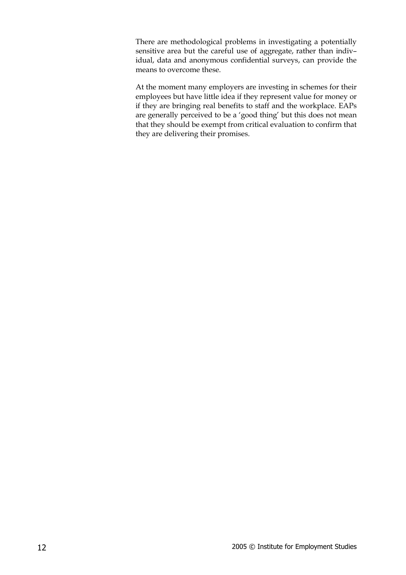There are methodological problems in investigating a potentially sensitive area but the careful use of aggregate, rather than indiv– idual, data and anonymous confidential surveys, can provide the means to overcome these.

At the moment many employers are investing in schemes for their employees but have little idea if they represent value for money or if they are bringing real benefits to staff and the workplace. EAPs are generally perceived to be a 'good thing' but this does not mean that they should be exempt from critical evaluation to confirm that they are delivering their promises.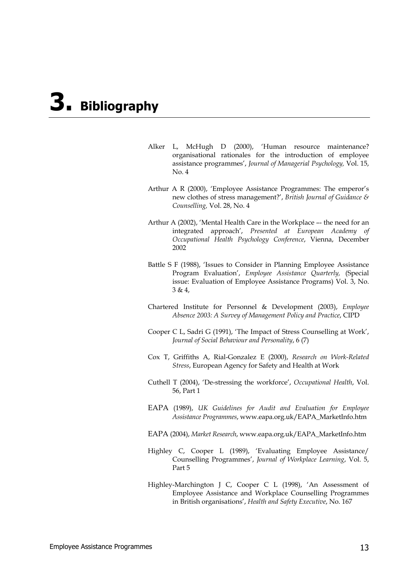# **3. Bibliography**

- Alker L, McHugh D (2000), 'Human resource maintenance? organisational rationales for the introduction of employee assistance programmes', *Journal of Managerial Psychology,* Vol. 15, No. 4
- Arthur A R (2000), 'Employee Assistance Programmes: The emperor's new clothes of stress management?', *British Journal of Guidance & Counselling,* Vol. 28, No. 4
- Arthur A (2002), 'Mental Health Care in the Workplace –- the need for an integrated approach', *Presented at European Academy of Occupational Health Psychology Conference*, Vienna, December 2002
- Battle S F (1988), 'Issues to Consider in Planning Employee Assistance Program Evaluation', *Employee Assistance Quarterly,* (Special issue: Evaluation of Employee Assistance Programs) Vol. 3, No. 3 & 4,
- Chartered Institute for Personnel & Development (2003), *Employee Absence 2003: A Survey of Management Policy and Practice*, CIPD
- Cooper C L, Sadri G (1991), 'The Impact of Stress Counselling at Work', *Journal of Social Behaviour and Personality*, 6 (7)
- Cox T, Griffiths A, Rial-Gonzalez E (2000), *Research on Work-Related Stress*, European Agency for Safety and Health at Work
- Cuthell T (2004), 'De-stressing the workforce', *Occupational Health*, Vol. 56, Part 1
- EAPA (1989), *UK Guidelines for Audit and Evaluation for Employee Assistance Programmes*, www.eapa.org.uk/EAPA\_MarketInfo.htm
- EAPA (2004), *Market Research*, www.eapa.org.uk/EAPA\_MarketInfo.htm
- Highley C, Cooper L (1989), 'Evaluating Employee Assistance/ Counselling Programmes', *Journal of Workplace Learning*, Vol. 5, Part 5
- Highley-Marchington J C, Cooper C L (1998), 'An Assessment of Employee Assistance and Workplace Counselling Programmes in British organisations', *Health and Safety Executive*, No. 167